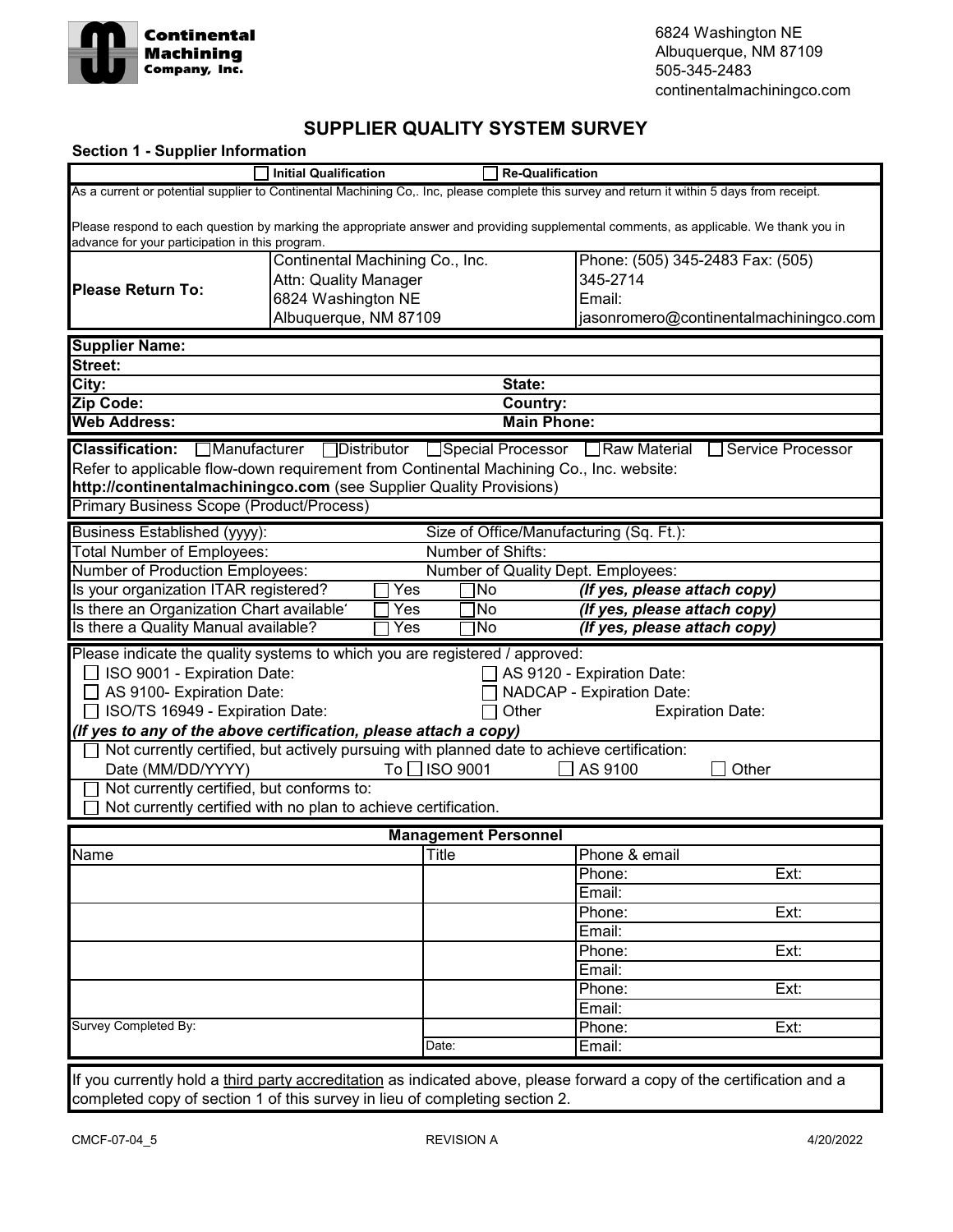

## **SUPPLIER QUALITY SYSTEM SURVEY**

| <b>Section 1 - Supplier Information</b>                                                                                                                                                  |                                 |               |                                                              |                                                              |                                                                   |  |
|------------------------------------------------------------------------------------------------------------------------------------------------------------------------------------------|---------------------------------|---------------|--------------------------------------------------------------|--------------------------------------------------------------|-------------------------------------------------------------------|--|
|                                                                                                                                                                                          | <b>Initial Qualification</b>    |               | <b>Re-Qualification</b>                                      |                                                              |                                                                   |  |
| As a current or potential supplier to Continental Machining Co,. Inc, please complete this survey and return it within 5 days from receipt.                                              |                                 |               |                                                              |                                                              |                                                                   |  |
| Please respond to each question by marking the appropriate answer and providing supplemental comments, as applicable. We thank you in<br>advance for your participation in this program. |                                 |               |                                                              |                                                              |                                                                   |  |
|                                                                                                                                                                                          | Continental Machining Co., Inc. |               |                                                              | Phone: (505) 345-2483 Fax: (505)                             |                                                                   |  |
| <b>Please Return To:</b>                                                                                                                                                                 | Attn: Quality Manager           |               |                                                              | 345-2714                                                     |                                                                   |  |
|                                                                                                                                                                                          | 6824 Washington NE              |               |                                                              | Email:                                                       |                                                                   |  |
|                                                                                                                                                                                          | Albuquerque, NM 87109           |               |                                                              |                                                              | jasonromero@continentalmachiningco.com                            |  |
| <b>Supplier Name:</b>                                                                                                                                                                    |                                 |               |                                                              |                                                              |                                                                   |  |
| Street:                                                                                                                                                                                  |                                 |               |                                                              |                                                              |                                                                   |  |
| City:                                                                                                                                                                                    |                                 |               | State:                                                       |                                                              |                                                                   |  |
| Zip Code:                                                                                                                                                                                |                                 |               | Country:                                                     |                                                              |                                                                   |  |
| <b>Web Address:</b>                                                                                                                                                                      |                                 |               | <b>Main Phone:</b>                                           |                                                              |                                                                   |  |
| Classification: □ Manufacturer                                                                                                                                                           |                                 |               |                                                              |                                                              | □ Distributor Special Processor IRaw Material IS ervice Processor |  |
| Refer to applicable flow-down requirement from Continental Machining Co., Inc. website:                                                                                                  |                                 |               |                                                              |                                                              |                                                                   |  |
| http://continentalmachiningco.com (see Supplier Quality Provisions)                                                                                                                      |                                 |               |                                                              |                                                              |                                                                   |  |
| Primary Business Scope (Product/Process)                                                                                                                                                 |                                 |               |                                                              |                                                              |                                                                   |  |
|                                                                                                                                                                                          |                                 |               |                                                              |                                                              |                                                                   |  |
| <b>Business Established (yyyy):</b><br>Total Number of Employees:                                                                                                                        |                                 |               | Size of Office/Manufacturing (Sq. Ft.):<br>Number of Shifts: |                                                              |                                                                   |  |
| Number of Production Employees:                                                                                                                                                          |                                 |               | Number of Quality Dept. Employees:                           |                                                              |                                                                   |  |
| Is your organization ITAR registered?                                                                                                                                                    |                                 | Yes           | 1No                                                          |                                                              |                                                                   |  |
| Is there an Organization Chart available'                                                                                                                                                |                                 |               |                                                              | (If yes, please attach copy)<br>(If yes, please attach copy) |                                                                   |  |
| Is there a Quality Manual available?                                                                                                                                                     |                                 | Yes<br>Yes    | No<br>No                                                     |                                                              |                                                                   |  |
|                                                                                                                                                                                          |                                 |               |                                                              | (If yes, please attach copy)                                 |                                                                   |  |
| Please indicate the quality systems to which you are registered / approved:                                                                                                              |                                 |               |                                                              |                                                              |                                                                   |  |
| ISO 9001 - Expiration Date:                                                                                                                                                              |                                 |               |                                                              | AS 9120 - Expiration Date:                                   |                                                                   |  |
| AS 9100- Expiration Date:<br>$\Box$                                                                                                                                                      |                                 |               |                                                              | NADCAP - Expiration Date:                                    |                                                                   |  |
| ISO/TS 16949 - Expiration Date:<br>$\perp$                                                                                                                                               |                                 |               | Other                                                        |                                                              | <b>Expiration Date:</b>                                           |  |
| (If yes to any of the above certification, please attach a copy)                                                                                                                         |                                 |               |                                                              |                                                              |                                                                   |  |
| Not currently certified, but actively pursuing with planned date to achieve certification:                                                                                               |                                 |               |                                                              |                                                              |                                                                   |  |
| Date (MM/DD/YYYY)                                                                                                                                                                        |                                 | To □ ISO 9001 |                                                              | AS 9100                                                      | Other                                                             |  |
| Not currently certified, but conforms to:                                                                                                                                                |                                 |               |                                                              |                                                              |                                                                   |  |
| Not currently certified with no plan to achieve certification.                                                                                                                           |                                 |               |                                                              |                                                              |                                                                   |  |
|                                                                                                                                                                                          |                                 |               | <b>Management Personnel</b>                                  |                                                              |                                                                   |  |
| Name                                                                                                                                                                                     |                                 | Title         |                                                              | Phone & email                                                |                                                                   |  |
|                                                                                                                                                                                          |                                 |               |                                                              | Phone:                                                       | Ext:                                                              |  |
|                                                                                                                                                                                          |                                 |               |                                                              | Email:                                                       |                                                                   |  |
|                                                                                                                                                                                          |                                 |               |                                                              | Phone:                                                       | Ext:                                                              |  |
|                                                                                                                                                                                          |                                 |               |                                                              | Email:                                                       |                                                                   |  |
|                                                                                                                                                                                          |                                 |               |                                                              | Phone:                                                       | Ext:                                                              |  |
|                                                                                                                                                                                          |                                 |               |                                                              | Email:                                                       |                                                                   |  |
|                                                                                                                                                                                          |                                 |               |                                                              | Phone:                                                       | Ext:                                                              |  |
|                                                                                                                                                                                          |                                 |               |                                                              | Email:                                                       |                                                                   |  |
| Survey Completed By:                                                                                                                                                                     |                                 |               |                                                              | Phone:                                                       | Ext:                                                              |  |
|                                                                                                                                                                                          |                                 | Date:         |                                                              | Email:                                                       |                                                                   |  |
|                                                                                                                                                                                          |                                 |               |                                                              |                                                              |                                                                   |  |
| If you currently hold a third party accreditation as indicated above, please forward a copy of the certification and a                                                                   |                                 |               |                                                              |                                                              |                                                                   |  |
| completed copy of section 1 of this survey in lieu of completing section 2.                                                                                                              |                                 |               |                                                              |                                                              |                                                                   |  |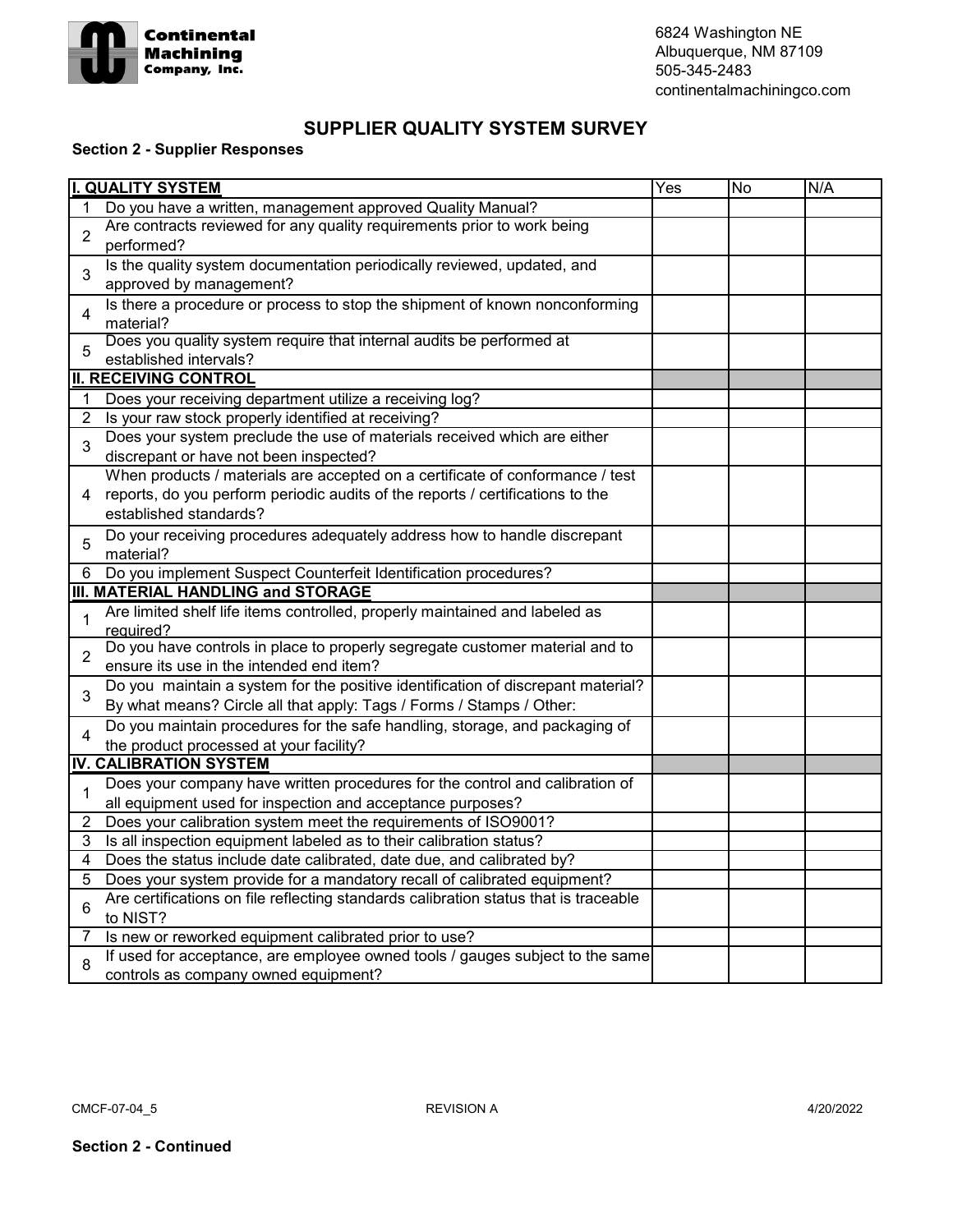

6824 Washington NE Albuquerque, NM 87109 505-345-2483 continentalmachiningco.com

## **SUPPLIER QUALITY SYSTEM SURVEY**

## **Section 2 - Supplier Responses**

| I.<br><b>QUALITY SYSTEM</b><br>Yes |                                                                                                                                                   |  | <b>No</b> | N/A |
|------------------------------------|---------------------------------------------------------------------------------------------------------------------------------------------------|--|-----------|-----|
|                                    | Do you have a written, management approved Quality Manual?                                                                                        |  |           |     |
| $\overline{2}$                     | Are contracts reviewed for any quality requirements prior to work being                                                                           |  |           |     |
|                                    | performed?                                                                                                                                        |  |           |     |
| 3                                  | Is the quality system documentation periodically reviewed, updated, and                                                                           |  |           |     |
|                                    | approved by management?                                                                                                                           |  |           |     |
| 4<br>5                             | Is there a procedure or process to stop the shipment of known nonconforming                                                                       |  |           |     |
|                                    | material?                                                                                                                                         |  |           |     |
|                                    | Does you quality system require that internal audits be performed at                                                                              |  |           |     |
|                                    | established intervals?                                                                                                                            |  |           |     |
|                                    | <b>II. RECEIVING CONTROL</b>                                                                                                                      |  |           |     |
| 1                                  | Does your receiving department utilize a receiving log?                                                                                           |  |           |     |
| $\overline{2}$                     | Is your raw stock properly identified at receiving?                                                                                               |  |           |     |
| 3                                  | Does your system preclude the use of materials received which are either                                                                          |  |           |     |
|                                    | discrepant or have not been inspected?                                                                                                            |  |           |     |
|                                    | When products / materials are accepted on a certificate of conformance / test                                                                     |  |           |     |
| 4                                  | reports, do you perform periodic audits of the reports / certifications to the                                                                    |  |           |     |
|                                    | established standards?                                                                                                                            |  |           |     |
| 5                                  | Do your receiving procedures adequately address how to handle discrepant                                                                          |  |           |     |
|                                    | material?                                                                                                                                         |  |           |     |
| 6                                  | Do you implement Suspect Counterfeit Identification procedures?                                                                                   |  |           |     |
|                                    | III. MATERIAL HANDLING and STORAGE                                                                                                                |  |           |     |
| $\mathbf{1}$                       | Are limited shelf life items controlled, properly maintained and labeled as                                                                       |  |           |     |
|                                    | required?<br>Do you have controls in place to properly segregate customer material and to                                                         |  |           |     |
| $\overline{2}$                     | ensure its use in the intended end item?                                                                                                          |  |           |     |
|                                    | Do you maintain a system for the positive identification of discrepant material?                                                                  |  |           |     |
| 3                                  | By what means? Circle all that apply: Tags / Forms / Stamps / Other:                                                                              |  |           |     |
|                                    | Do you maintain procedures for the safe handling, storage, and packaging of                                                                       |  |           |     |
| 4                                  |                                                                                                                                                   |  |           |     |
|                                    | the product processed at your facility?<br><b>IV. CALIBRATION SYSTEM</b>                                                                          |  |           |     |
|                                    | Does your company have written procedures for the control and calibration of                                                                      |  |           |     |
| $\mathbf 1$                        |                                                                                                                                                   |  |           |     |
|                                    | all equipment used for inspection and acceptance purposes?                                                                                        |  |           |     |
| 2                                  | Does your calibration system meet the requirements of ISO9001?                                                                                    |  |           |     |
| 3<br>4                             | Is all inspection equipment labeled as to their calibration status?                                                                               |  |           |     |
|                                    | Does the status include date calibrated, date due, and calibrated by?<br>Does your system provide for a mandatory recall of calibrated equipment? |  |           |     |
| 5                                  | Are certifications on file reflecting standards calibration status that is traceable                                                              |  |           |     |
| 6                                  | to NIST?                                                                                                                                          |  |           |     |
| 7                                  | Is new or reworked equipment calibrated prior to use?                                                                                             |  |           |     |
|                                    | If used for acceptance, are employee owned tools / gauges subject to the same                                                                     |  |           |     |
| 8                                  | controls as company owned equipment?                                                                                                              |  |           |     |
|                                    |                                                                                                                                                   |  |           |     |